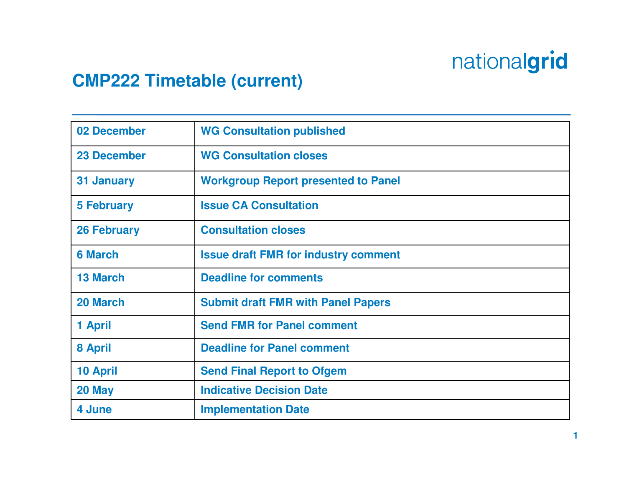#### **CMP222 Timetable (current)**

| 02 December        | <b>WG Consultation published</b>            |
|--------------------|---------------------------------------------|
| <b>23 December</b> | <b>WG Consultation closes</b>               |
| 31 January         | <b>Workgroup Report presented to Panel</b>  |
| <b>5 February</b>  | <b>Issue CA Consultation</b>                |
| <b>26 February</b> | <b>Consultation closes</b>                  |
| <b>6 March</b>     | <b>Issue draft FMR for industry comment</b> |
| <b>13 March</b>    | <b>Deadline for comments</b>                |
| 20 March           | <b>Submit draft FMR with Panel Papers</b>   |
| 1 April            | <b>Send FMR for Panel comment</b>           |
| 8 April            | <b>Deadline for Panel comment</b>           |
| <b>10 April</b>    | <b>Send Final Report to Ofgem</b>           |
| 20 May             | <b>Indicative Decision Date</b>             |
| 4 June             | <b>Implementation Date</b>                  |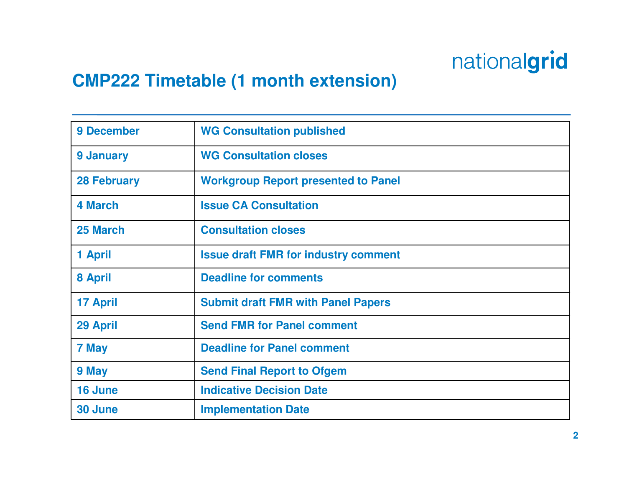#### **CMP222 Timetable (1 month extension)**

| 9 December         | <b>WG Consultation published</b>            |
|--------------------|---------------------------------------------|
| 9 January          | <b>WG Consultation closes</b>               |
| <b>28 February</b> | <b>Workgroup Report presented to Panel</b>  |
| <b>4 March</b>     | <b>Issue CA Consultation</b>                |
| 25 March           | <b>Consultation closes</b>                  |
| 1 April            | <b>Issue draft FMR for industry comment</b> |
| 8 April            | <b>Deadline for comments</b>                |
| <b>17 April</b>    | <b>Submit draft FMR with Panel Papers</b>   |
| 29 April           | <b>Send FMR for Panel comment</b>           |
| 7 May              | <b>Deadline for Panel comment</b>           |
| 9 May              | <b>Send Final Report to Ofgem</b>           |
| 16 June            | <b>Indicative Decision Date</b>             |
| 30 June            | <b>Implementation Date</b>                  |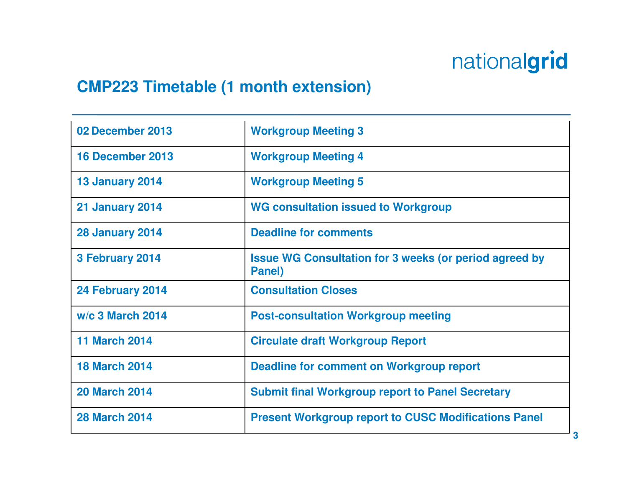#### **CMP223 Timetable (1 month extension)**

| 02 December 2013       | <b>Workgroup Meeting 3</b>                                              |
|------------------------|-------------------------------------------------------------------------|
| 16 December 2013       | <b>Workgroup Meeting 4</b>                                              |
| <b>13 January 2014</b> | <b>Workgroup Meeting 5</b>                                              |
| <b>21 January 2014</b> | <b>WG consultation issued to Workgroup</b>                              |
| <b>28 January 2014</b> | <b>Deadline for comments</b>                                            |
| 3 February 2014        | <b>Issue WG Consultation for 3 weeks (or period agreed by</b><br>Panel) |
| 24 February 2014       | <b>Consultation Closes</b>                                              |
| w/c 3 March 2014       | <b>Post-consultation Workgroup meeting</b>                              |
| <b>11 March 2014</b>   | <b>Circulate draft Workgroup Report</b>                                 |
| <b>18 March 2014</b>   | Deadline for comment on Workgroup report                                |
| <b>20 March 2014</b>   | <b>Submit final Workgroup report to Panel Secretary</b>                 |
| <b>28 March 2014</b>   | <b>Present Workgroup report to CUSC Modifications Panel</b>             |